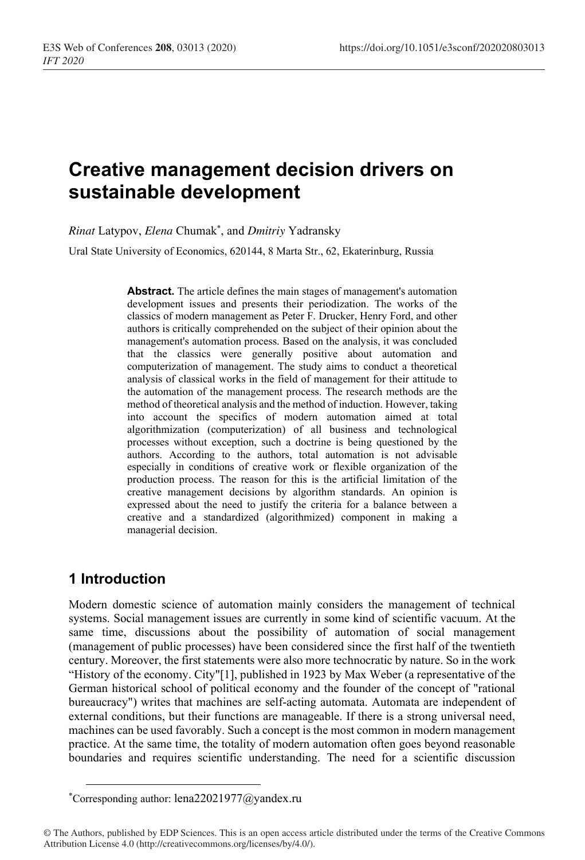# **Creative management decision drivers on sustainable development**

*Rinat* Latypov, *Elena* Chumak\* , and *Dmitriy* Yadransky

Ural State University of Economics, 620144, 8 Marta Str., 62, Ekaterinburg, Russia

**Abstract.** The article defines the main stages of management's automation development issues and presents their periodization. The works of the classics of modern management as Peter F. Drucker, Henry Ford, and other authors is critically comprehended on the subject of their opinion about the management's automation process. Based on the analysis, it was concluded that the classics were generally positive about automation and computerization of management. The study aims to conduct a theoretical analysis of classical works in the field of management for their attitude to the automation of the management process. The research methods are the method of theoretical analysis and the method of induction. However, taking into account the specifics of modern automation aimed at total algorithmization (computerization) of all business and technological processes without exception, such a doctrine is being questioned by the authors. According to the authors, total automation is not advisable especially in conditions of creative work or flexible organization of the production process. The reason for this is the artificial limitation of the creative management decisions by algorithm standards. An opinion is expressed about the need to justify the criteria for a balance between a creative and a standardized (algorithmized) component in making a managerial decision.

# **1 Introduction**

Modern domestic science of automation mainly considers the management of technical systems. Social management issues are currently in some kind of scientific vacuum. At the same time, discussions about the possibility of automation of social management (management of public processes) have been considered since the first half of the twentieth century. Moreover, the first statements were also more technocratic by nature. So in the work "History of the economy. City"[1], published in 1923 by Max Weber (a representative of the German historical school of political economy and the founder of the concept of "rational bureaucracy") writes that machines are self-acting automata. Automata are independent of external conditions, but their functions are manageable. If there is a strong universal need, machines can be used favorably. Such a concept is the most common in modern management practice. At the same time, the totality of modern automation often goes beyond reasonable boundaries and requires scientific understanding. The need for a scientific discussion

<sup>\*</sup> Corresponding author: lena22021977@yandex.ru

<sup>©</sup> The Authors, published by EDP Sciences. This is an open access article distributed under the terms of the Creative Commons Attribution License 4.0 (http://creativecommons.org/licenses/by/4.0/).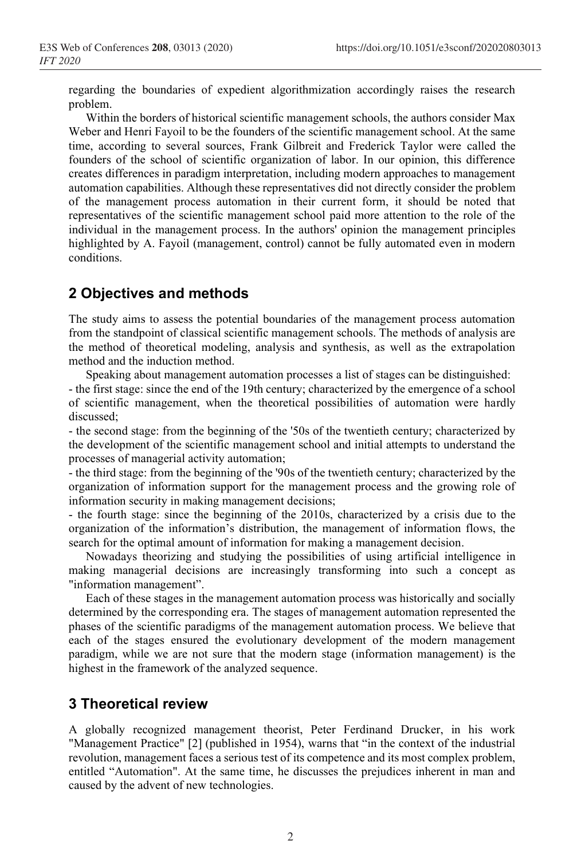regarding the boundaries of expedient algorithmization accordingly raises the research problem.

Within the borders of historical scientific management schools, the authors consider Max Weber and Henri Fayoil to be the founders of the scientific management school. At the same time, according to several sources, Frank Gilbreit and Frederick Taylor were called the founders of the school of scientific organization of labor. In our opinion, this difference creates differences in paradigm interpretation, including modern approaches to management automation capabilities. Although these representatives did not directly consider the problem of the management process automation in their current form, it should be noted that representatives of the scientific management school paid more attention to the role of the individual in the management process. In the authors' opinion the management principles highlighted by A. Fayoil (management, control) cannot be fully automated even in modern conditions.

## **2 Objectives and methods**

The study aims to assess the potential boundaries of the management process automation from the standpoint of classical scientific management schools. The methods of analysis are the method of theoretical modeling, analysis and synthesis, as well as the extrapolation method and the induction method.

Speaking about management automation processes a list of stages can be distinguished: - the first stage: since the end of the 19th century; characterized by the emergence of a school of scientific management, when the theoretical possibilities of automation were hardly discussed;

- the second stage: from the beginning of the '50s of the twentieth century; characterized by the development of the scientific management school and initial attempts to understand the processes of managerial activity automation;

- the third stage: from the beginning of the '90s of the twentieth century; characterized by the organization of information support for the management process and the growing role of information security in making management decisions;

- the fourth stage: since the beginning of the 2010s, characterized by a crisis due to the organization of the information's distribution, the management of information flows, the search for the optimal amount of information for making a management decision.

Nowadays theorizing and studying the possibilities of using artificial intelligence in making managerial decisions are increasingly transforming into such a concept as "information management".

Each of these stages in the management automation process was historically and socially determined by the corresponding era. The stages of management automation represented the phases of the scientific paradigms of the management automation process. We believe that each of the stages ensured the evolutionary development of the modern management paradigm, while we are not sure that the modern stage (information management) is the highest in the framework of the analyzed sequence.

### **3 Theoretical review**

А globally recognized management theorist, Peter Ferdinand Drucker, in his work "Management Practice" [2] (published in 1954), warns that "in the context of the industrial revolution, management faces a serious test of its competence and its most complex problem, entitled "Automation". At the same time, he discusses the prejudices inherent in man and caused by the advent of new technologies.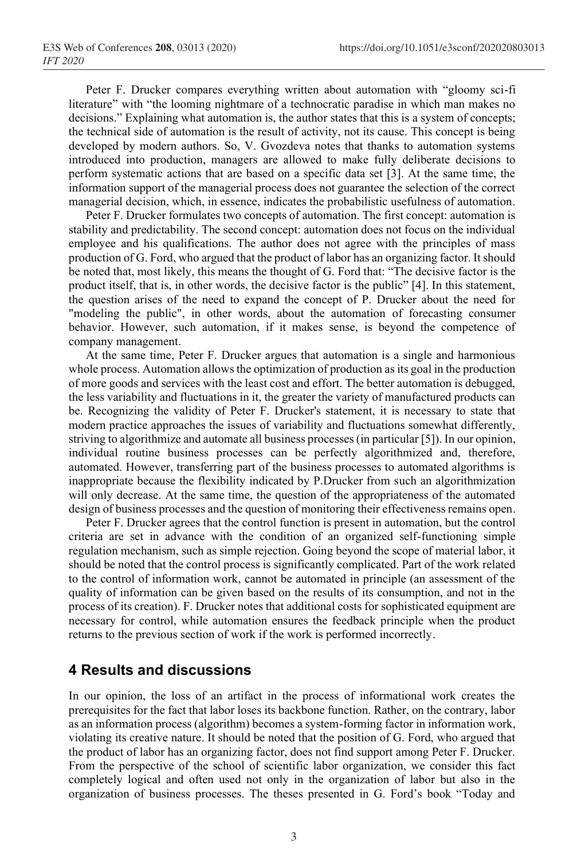Peter F. Drucker compares everything written about automation with "gloomy sci-fi literature" with "the looming nightmare of a technocratic paradise in which man makes no decisions." Explaining what automation is, the author states that this is a system of concepts; the technical side of automation is the result of activity, not its cause. This concept is being developed by modern authors. So, V. Gvozdeva notes that thanks to automation systems introduced into production, managers are allowed to make fully deliberate decisions to perform systematic actions that are based on a specific data set [3]. At the same time, the information support of the managerial process does not guarantee the selection of the correct managerial decision, which, in essence, indicates the probabilistic usefulness of automation.

Peter F. Drucker formulates two concepts of automation. The first concept: automation is stability and predictability. The second concept: automation does not focus on the individual employee and his qualifications. The author does not agree with the principles of mass production of G. Ford, who argued that the product of labor has an organizing factor. It should be noted that, most likely, this means the thought of G. Ford that: "The decisive factor is the product itself, that is, in other words, the decisive factor is the public" [4]. In this statement, the question arises of the need to expand the concept of P. Drucker about the need for "modeling the public", in other words, about the automation of forecasting consumer behavior. However, such automation, if it makes sense, is beyond the competence of company management.

At the same time, Peter F. Drucker argues that automation is a single and harmonious whole process. Automation allows the optimization of production as its goal in the production of more goods and services with the least cost and effort. The better automation is debugged, the less variability and fluctuations in it, the greater the variety of manufactured products can be. Recognizing the validity of Peter F. Drucker's statement, it is necessary to state that modern practice approaches the issues of variability and fluctuations somewhat differently, striving to algorithmize and automate all business processes (in particular [5]). In our opinion, individual routine business processes can be perfectly algorithmized and, therefore, automated. However, transferring part of the business processes to automated algorithms is inappropriate because the flexibility indicated by P.Drucker from such an algorithmization will only decrease. At the same time, the question of the appropriateness of the automated design of business processes and the question of monitoring their effectiveness remains open.

Peter F. Drucker agrees that the control function is present in automation, but the control criteria are set in advance with the condition of an organized self-functioning simple regulation mechanism, such as simple rejection. Going beyond the scope of material labor, it should be noted that the control process is significantly complicated. Part of the work related to the control of information work, cannot be automated in principle (an assessment of the quality of information can be given based on the results of its consumption, and not in the process of its creation). F. Drucker notes that additional costs for sophisticated equipment are necessary for control, while automation ensures the feedback principle when the product returns to the previous section of work if the work is performed incorrectly.

#### **4 Results and discussions**

In our opinion, the loss of an artifact in the process of informational work creates the prerequisites for the fact that labor loses its backbone function. Rather, on the contrary, labor as an information process (algorithm) becomes a system-forming factor in information work, violating its creative nature. It should be noted that the position of G. Ford, who argued that the product of labor has an organizing factor, does not find support among Peter F. Drucker. From the perspective of the school of scientific labor organization, we consider this fact completely logical and often used not only in the organization of labor but also in the organization of business processes. The theses presented in G. Ford's book "Today and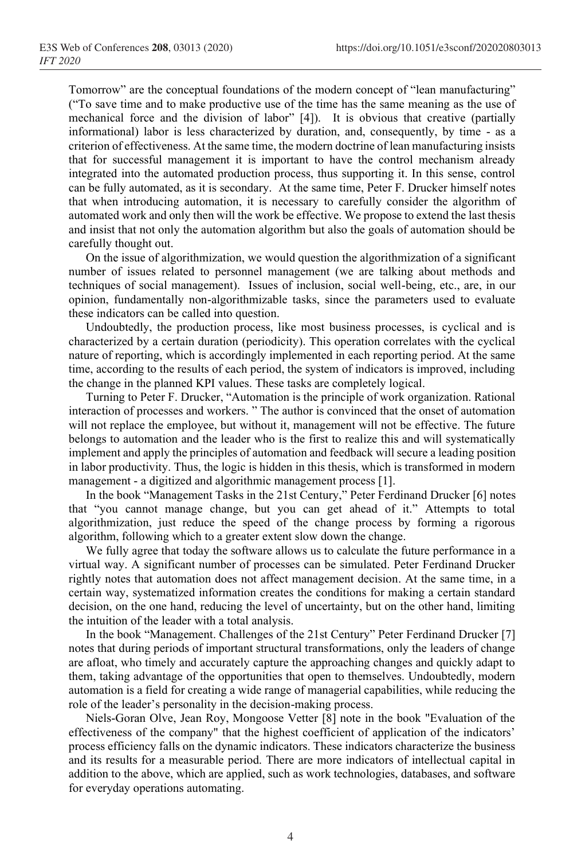Tomorrow" are the conceptual foundations of the modern concept of "lean manufacturing" ("To save time and to make productive use of the time has the same meaning as the use of mechanical force and the division of labor" [4]). It is obvious that creative (partially informational) labor is less characterized by duration, and, consequently, by time - as a criterion of effectiveness. At the same time, the modern doctrine of lean manufacturing insists that for successful management it is important to have the control mechanism already integrated into the automated production process, thus supporting it. In this sense, control can be fully automated, as it is secondary. At the same time, Peter F. Drucker himself notes that when introducing automation, it is necessary to carefully consider the algorithm of automated work and only then will the work be effective. We propose to extend the last thesis and insist that not only the automation algorithm but also the goals of automation should be carefully thought out.

On the issue of algorithmization, we would question the algorithmization of a significant number of issues related to personnel management (we are talking about methods and techniques of social management). Issues of inclusion, social well-being, etc., are, in our opinion, fundamentally non-algorithmizable tasks, since the parameters used to evaluate these indicators can be called into question.

Undoubtedly, the production process, like most business processes, is cyclical and is characterized by a certain duration (periodicity). This operation correlates with the cyclical nature of reporting, which is accordingly implemented in each reporting period. At the same time, according to the results of each period, the system of indicators is improved, including the change in the planned KPI values. These tasks are completely logical.

Turning to Peter F. Drucker, "Automation is the principle of work organization. Rational interaction of processes and workers. " The author is convinced that the onset of automation will not replace the employee, but without it, management will not be effective. The future belongs to automation and the leader who is the first to realize this and will systematically implement and apply the principles of automation and feedback will secure a leading position in labor productivity. Thus, the logic is hidden in this thesis, which is transformed in modern management - a digitized and algorithmic management process [1].

In the book "Management Tasks in the 21st Century," Peter Ferdinand Drucker [6] notes that "you cannot manage change, but you can get ahead of it." Attempts to total algorithmization, just reduce the speed of the change process by forming a rigorous algorithm, following which to a greater extent slow down the change.

We fully agree that today the software allows us to calculate the future performance in a virtual way. A significant number of processes can be simulated. Peter Ferdinand Drucker rightly notes that automation does not affect management decision. At the same time, in a certain way, systematized information creates the conditions for making a certain standard decision, on the one hand, reducing the level of uncertainty, but on the other hand, limiting the intuition of the leader with a total analysis.

In the book "Management. Challenges of the 21st Century" Peter Ferdinand Drucker [7] notes that during periods of important structural transformations, only the leaders of change are afloat, who timely and accurately capture the approaching changes and quickly adapt to them, taking advantage of the opportunities that open to themselves. Undoubtedly, modern automation is a field for creating a wide range of managerial capabilities, while reducing the role of the leader's personality in the decision-making process.

Niels-Goran Olve, Jean Roy, Mongoose Vetter [8] note in the book "Evaluation of the effectiveness of the company" that the highest coefficient of application of the indicators' process efficiency falls on the dynamic indicators. These indicators characterize the business and its results for a measurable period. There are more indicators of intellectual capital in addition to the above, which are applied, such as work technologies, databases, and software for everyday operations automating.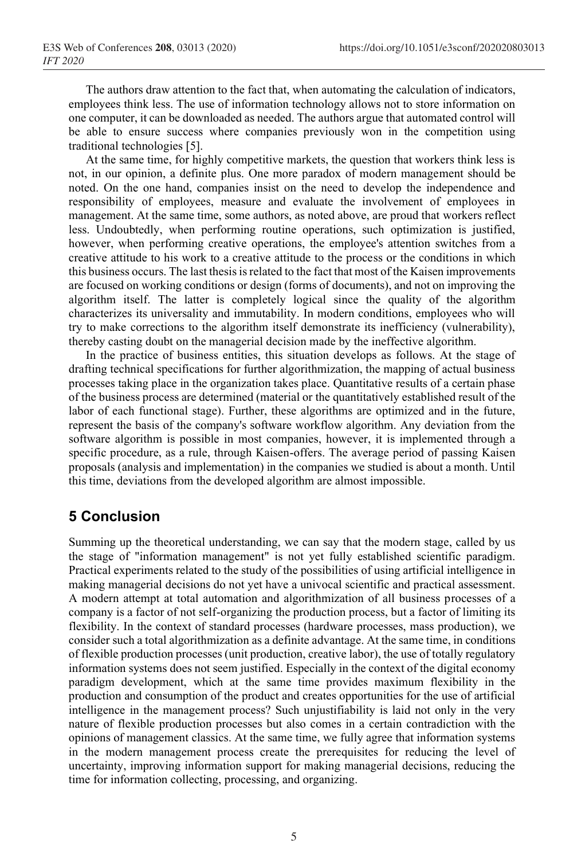The authors draw attention to the fact that, when automating the calculation of indicators, employees think less. The use of information technology allows not to store information on one computer, it can be downloaded as needed. The authors argue that automated control will be able to ensure success where companies previously won in the competition using traditional technologies [5].

At the same time, for highly competitive markets, the question that workers think less is not, in our opinion, a definite plus. One more paradox of modern management should be noted. On the one hand, companies insist on the need to develop the independence and responsibility of employees, measure and evaluate the involvement of employees in management. At the same time, some authors, as noted above, are proud that workers reflect less. Undoubtedly, when performing routine operations, such optimization is justified, however, when performing creative operations, the employee's attention switches from a creative attitude to his work to a creative attitude to the process or the conditions in which this business occurs. The last thesis is related to the fact that most of the Kaisen improvements are focused on working conditions or design (forms of documents), and not on improving the algorithm itself. The latter is completely logical since the quality of the algorithm characterizes its universality and immutability. In modern conditions, employees who will try to make corrections to the algorithm itself demonstrate its inefficiency (vulnerability), thereby casting doubt on the managerial decision made by the ineffective algorithm.

In the practice of business entities, this situation develops as follows. At the stage of drafting technical specifications for further algorithmization, the mapping of actual business processes taking place in the organization takes place. Quantitative results of a certain phase of the business process are determined (material or the quantitatively established result of the labor of each functional stage). Further, these algorithms are optimized and in the future, represent the basis of the company's software workflow algorithm. Any deviation from the software algorithm is possible in most companies, however, it is implemented through a specific procedure, as a rule, through Kaisen-offers. The average period of passing Kaisen proposals (analysis and implementation) in the companies we studied is about a month. Until this time, deviations from the developed algorithm are almost impossible.

# **5 Conclusion**

Summing up the theoretical understanding, we can say that the modern stage, called by us the stage of "information management" is not yet fully established scientific paradigm. Practical experiments related to the study of the possibilities of using artificial intelligence in making managerial decisions do not yet have a univocal scientific and practical assessment. A modern attempt at total automation and algorithmization of all business processes of a company is a factor of not self-organizing the production process, but a factor of limiting its flexibility. In the context of standard processes (hardware processes, mass production), we consider such a total algorithmization as a definite advantage. At the same time, in conditions of flexible production processes (unit production, creative labor), the use of totally regulatory information systems does not seem justified. Especially in the context of the digital economy paradigm development, which at the same time provides maximum flexibility in the production and consumption of the product and creates opportunities for the use of artificial intelligence in the management process? Such unjustifiability is laid not only in the very nature of flexible production processes but also comes in a certain contradiction with the opinions of management classics. At the same time, we fully agree that information systems in the modern management process create the prerequisites for reducing the level of uncertainty, improving information support for making managerial decisions, reducing the time for information collecting, processing, and organizing.